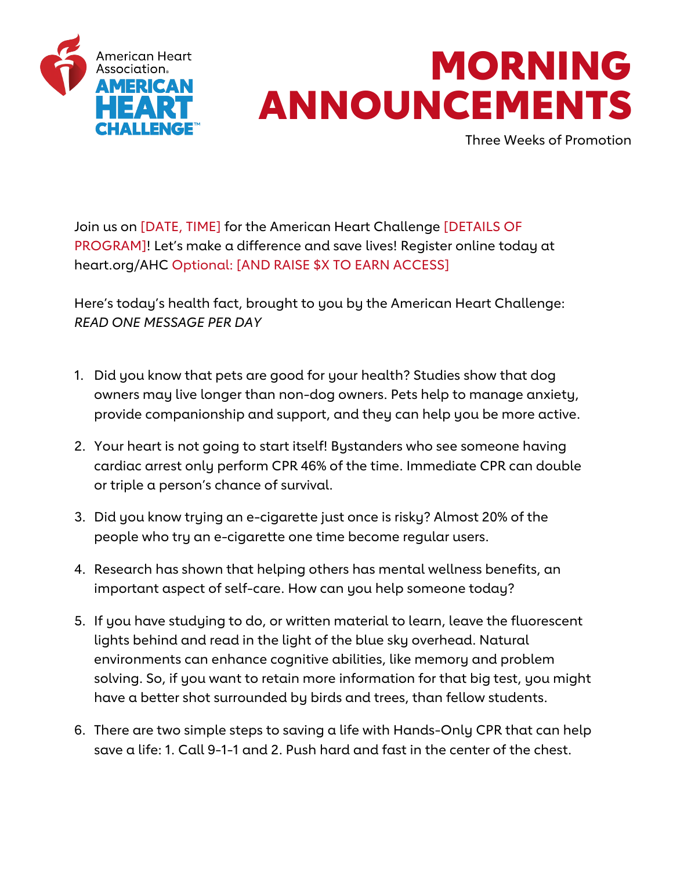

## MORNING ANNOUNCEMENTS

Three Weeks of Promotion

Join us on [DATE, TIME] for the American Heart Challenge [DETAILS OF PROGRAM]! Let's make a difference and save lives! Register online today at heart.org/AHC Optional: [AND RAISE \$X TO EARN ACCESS]

Here's today's health fact, brought to you by the American Heart Challenge: *READ ONE MESSAGE PER DAY*

- 1. Did you know that pets are good for your health? Studies show that dog owners may live longer than non-dog owners. Pets help to manage anxiety, provide companionship and support, and they can help you be more active.
- 2. Your heart is not going to start itself! Bystanders who see someone having cardiac arrest only perform CPR 46% of the time. Immediate CPR can double or triple a person's chance of survival.
- 3. Did you know trying an e-cigarette just once is risky? Almost 20% of the people who try an e-cigarette one time become regular users.
- 4. Research has shown that helping others has mental wellness benefits, an important aspect of self-care. How can you help someone today?
- 5. If you have studying to do, or written material to learn, leave the fluorescent lights behind and read in the light of the blue sky overhead. Natural environments can enhance cognitive abilities, like memory and problem solving. So, if you want to retain more information for that big test, you might have a better shot surrounded by birds and trees, than fellow students.
- 6. There are two simple steps to saving a life with Hands-Only CPR that can help save a life: 1. Call 9-1-1 and 2. Push hard and fast in the center of the chest.